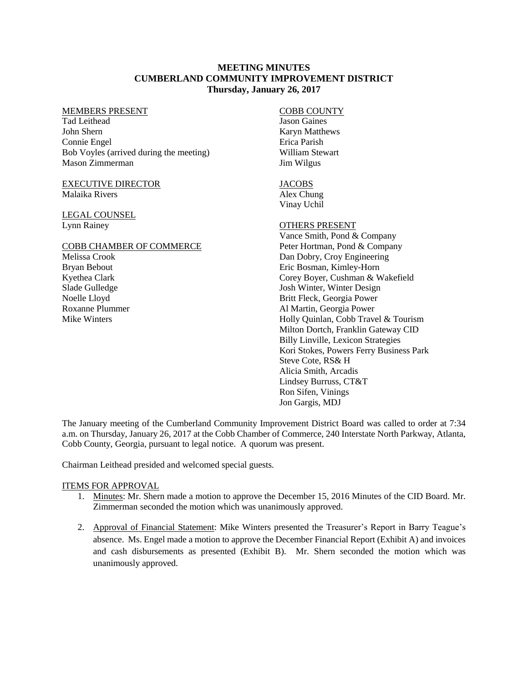### **MEETING MINUTES CUMBERLAND COMMUNITY IMPROVEMENT DISTRICT Thursday, January 26, 2017**

#### MEMBERS PRESENT

Tad Leithead John Shern Connie Engel Bob Voyles (arrived during the meeting) Mason Zimmerman

#### EXECUTIVE DIRECTOR Malaika Rivers

LEGAL COUNSEL Lynn Rainey

Mike Winters

#### COBB CHAMBER OF COMMERCE Melissa Crook Bryan Bebout Kyethea Clark Slade Gulledge Noelle Lloyd Roxanne Plummer

COBB COUNTY Jason Gaines Karyn Matthews Erica Parish William Stewart

# **JACOBS**

Alex Chung Vinay Uchil

Jim Wilgus

# OTHERS PRESENT

Vance Smith, Pond & Company Peter Hortman, Pond & Company Dan Dobry, Croy Engineering Eric Bosman, Kimley-Horn Corey Boyer, Cushman & Wakefield Josh Winter, Winter Design Britt Fleck, Georgia Power Al Martin, Georgia Power Holly Quinlan, Cobb Travel & Tourism Milton Dortch, Franklin Gateway CID Billy Linville, Lexicon Strategies Kori Stokes, Powers Ferry Business Park Steve Cote, RS& H Alicia Smith, Arcadis Lindsey Burruss, CT&T Ron Sifen, Vinings Jon Gargis, MDJ

The January meeting of the Cumberland Community Improvement District Board was called to order at 7:34 a.m. on Thursday, January 26, 2017 at the Cobb Chamber of Commerce, 240 Interstate North Parkway, Atlanta, Cobb County, Georgia, pursuant to legal notice. A quorum was present.

Chairman Leithead presided and welcomed special guests.

# ITEMS FOR APPROVAL

- 1. Minutes: Mr. Shern made a motion to approve the December 15, 2016 Minutes of the CID Board. Mr. Zimmerman seconded the motion which was unanimously approved.
- 2. Approval of Financial Statement: Mike Winters presented the Treasurer's Report in Barry Teague's absence. Ms. Engel made a motion to approve the December Financial Report (Exhibit A) and invoices and cash disbursements as presented (Exhibit B). Mr. Shern seconded the motion which was unanimously approved.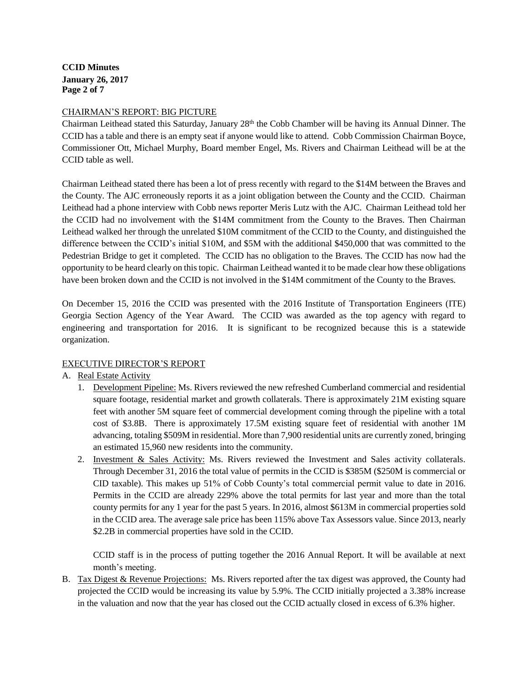# **CCID Minutes January 26, 2017 Page 2 of 7**

#### CHAIRMAN'S REPORT: BIG PICTURE

Chairman Leithead stated this Saturday, January 28<sup>th</sup> the Cobb Chamber will be having its Annual Dinner. The CCID has a table and there is an empty seat if anyone would like to attend. Cobb Commission Chairman Boyce, Commissioner Ott, Michael Murphy, Board member Engel, Ms. Rivers and Chairman Leithead will be at the CCID table as well.

Chairman Leithead stated there has been a lot of press recently with regard to the \$14M between the Braves and the County. The AJC erroneously reports it as a joint obligation between the County and the CCID. Chairman Leithead had a phone interview with Cobb news reporter Meris Lutz with the AJC. Chairman Leithead told her the CCID had no involvement with the \$14M commitment from the County to the Braves. Then Chairman Leithead walked her through the unrelated \$10M commitment of the CCID to the County, and distinguished the difference between the CCID's initial \$10M, and \$5M with the additional \$450,000 that was committed to the Pedestrian Bridge to get it completed. The CCID has no obligation to the Braves. The CCID has now had the opportunity to be heard clearly on this topic. Chairman Leithead wanted it to be made clear how these obligations have been broken down and the CCID is not involved in the \$14M commitment of the County to the Braves.

On December 15, 2016 the CCID was presented with the 2016 Institute of Transportation Engineers (ITE) Georgia Section Agency of the Year Award. The CCID was awarded as the top agency with regard to engineering and transportation for 2016. It is significant to be recognized because this is a statewide organization.

# EXECUTIVE DIRECTOR'S REPORT

# A. Real Estate Activity

- 1. Development Pipeline: Ms. Rivers reviewed the new refreshed Cumberland commercial and residential square footage, residential market and growth collaterals. There is approximately 21M existing square feet with another 5M square feet of commercial development coming through the pipeline with a total cost of \$3.8B. There is approximately 17.5M existing square feet of residential with another 1M advancing, totaling \$509M in residential. More than 7,900 residential units are currently zoned, bringing an estimated 15,960 new residents into the community.
- 2. Investment & Sales Activity: Ms. Rivers reviewed the Investment and Sales activity collaterals. Through December 31, 2016 the total value of permits in the CCID is \$385M (\$250M is commercial or CID taxable). This makes up 51% of Cobb County's total commercial permit value to date in 2016. Permits in the CCID are already 229% above the total permits for last year and more than the total county permits for any 1 year for the past 5 years. In 2016, almost \$613M in commercial properties sold in the CCID area. The average sale price has been 115% above Tax Assessors value. Since 2013, nearly \$2.2B in commercial properties have sold in the CCID.

CCID staff is in the process of putting together the 2016 Annual Report. It will be available at next month's meeting.

B. Tax Digest & Revenue Projections: Ms. Rivers reported after the tax digest was approved, the County had projected the CCID would be increasing its value by 5.9%. The CCID initially projected a 3.38% increase in the valuation and now that the year has closed out the CCID actually closed in excess of 6.3% higher.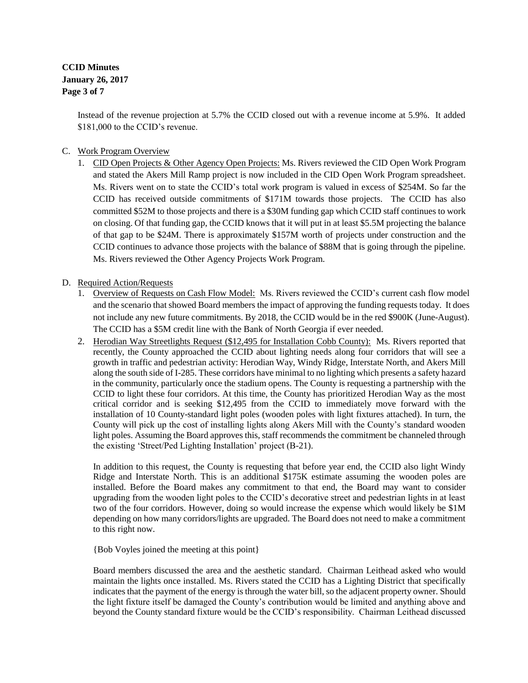**CCID Minutes January 26, 2017 Page 3 of 7**

> Instead of the revenue projection at 5.7% the CCID closed out with a revenue income at 5.9%. It added \$181,000 to the CCID's revenue.

### C. Work Program Overview

1. CID Open Projects & Other Agency Open Projects: Ms. Rivers reviewed the CID Open Work Program and stated the Akers Mill Ramp project is now included in the CID Open Work Program spreadsheet. Ms. Rivers went on to state the CCID's total work program is valued in excess of \$254M. So far the CCID has received outside commitments of \$171M towards those projects. The CCID has also committed \$52M to those projects and there is a \$30M funding gap which CCID staff continues to work on closing. Of that funding gap, the CCID knows that it will put in at least \$5.5M projecting the balance of that gap to be \$24M. There is approximately \$157M worth of projects under construction and the CCID continues to advance those projects with the balance of \$88M that is going through the pipeline. Ms. Rivers reviewed the Other Agency Projects Work Program.

### D. Required Action/Requests

- 1. Overview of Requests on Cash Flow Model: Ms. Rivers reviewed the CCID's current cash flow model and the scenario that showed Board members the impact of approving the funding requests today. It does not include any new future commitments. By 2018, the CCID would be in the red \$900K (June-August). The CCID has a \$5M credit line with the Bank of North Georgia if ever needed.
- 2. Herodian Way Streetlights Request (\$12,495 for Installation Cobb County): Ms. Rivers reported that recently, the County approached the CCID about lighting needs along four corridors that will see a growth in traffic and pedestrian activity: Herodian Way, Windy Ridge, Interstate North, and Akers Mill along the south side of I-285. These corridors have minimal to no lighting which presents a safety hazard in the community, particularly once the stadium opens. The County is requesting a partnership with the CCID to light these four corridors. At this time, the County has prioritized Herodian Way as the most critical corridor and is seeking \$12,495 from the CCID to immediately move forward with the installation of 10 County-standard light poles (wooden poles with light fixtures attached). In turn, the County will pick up the cost of installing lights along Akers Mill with the County's standard wooden light poles. Assuming the Board approves this, staff recommends the commitment be channeled through the existing 'Street/Ped Lighting Installation' project (B-21).

In addition to this request, the County is requesting that before year end, the CCID also light Windy Ridge and Interstate North. This is an additional \$175K estimate assuming the wooden poles are installed. Before the Board makes any commitment to that end, the Board may want to consider upgrading from the wooden light poles to the CCID's decorative street and pedestrian lights in at least two of the four corridors. However, doing so would increase the expense which would likely be \$1M depending on how many corridors/lights are upgraded. The Board does not need to make a commitment to this right now.

#### {Bob Voyles joined the meeting at this point}

Board members discussed the area and the aesthetic standard. Chairman Leithead asked who would maintain the lights once installed. Ms. Rivers stated the CCID has a Lighting District that specifically indicates that the payment of the energy is through the water bill, so the adjacent property owner. Should the light fixture itself be damaged the County's contribution would be limited and anything above and beyond the County standard fixture would be the CCID's responsibility. Chairman Leithead discussed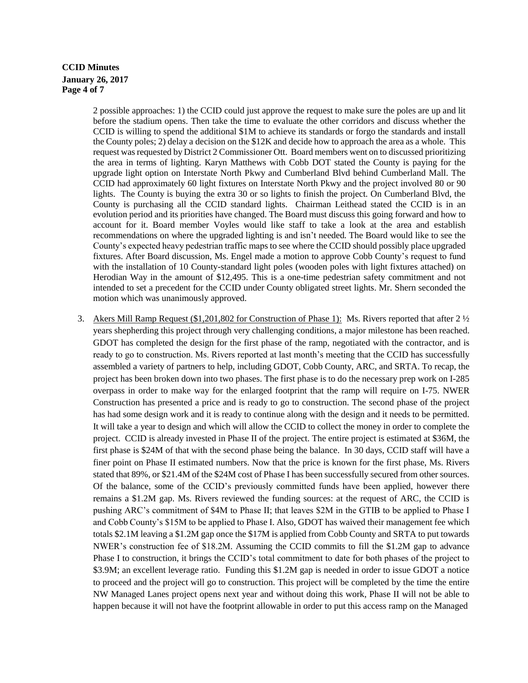# **CCID Minutes January 26, 2017 Page 4 of 7**

2 possible approaches: 1) the CCID could just approve the request to make sure the poles are up and lit before the stadium opens. Then take the time to evaluate the other corridors and discuss whether the CCID is willing to spend the additional \$1M to achieve its standards or forgo the standards and install the County poles; 2) delay a decision on the \$12K and decide how to approach the area as a whole. This request was requested by District 2 Commissioner Ott. Board members went on to discussed prioritizing the area in terms of lighting. Karyn Matthews with Cobb DOT stated the County is paying for the upgrade light option on Interstate North Pkwy and Cumberland Blvd behind Cumberland Mall. The CCID had approximately 60 light fixtures on Interstate North Pkwy and the project involved 80 or 90 lights. The County is buying the extra 30 or so lights to finish the project. On Cumberland Blvd, the County is purchasing all the CCID standard lights. Chairman Leithead stated the CCID is in an evolution period and its priorities have changed. The Board must discuss this going forward and how to account for it. Board member Voyles would like staff to take a look at the area and establish recommendations on where the upgraded lighting is and isn't needed. The Board would like to see the County's expected heavy pedestrian traffic maps to see where the CCID should possibly place upgraded fixtures. After Board discussion, Ms. Engel made a motion to approve Cobb County's request to fund with the installation of 10 County-standard light poles (wooden poles with light fixtures attached) on Herodian Way in the amount of \$12,495. This is a one-time pedestrian safety commitment and not intended to set a precedent for the CCID under County obligated street lights. Mr. Shern seconded the motion which was unanimously approved.

3. Akers Mill Ramp Request (\$1,201,802 for Construction of Phase 1): Ms. Rivers reported that after 2 ½ years shepherding this project through very challenging conditions, a major milestone has been reached. GDOT has completed the design for the first phase of the ramp, negotiated with the contractor, and is ready to go to construction. Ms. Rivers reported at last month's meeting that the CCID has successfully assembled a variety of partners to help, including GDOT, Cobb County, ARC, and SRTA. To recap, the project has been broken down into two phases. The first phase is to do the necessary prep work on I-285 overpass in order to make way for the enlarged footprint that the ramp will require on I-75. NWER Construction has presented a price and is ready to go to construction. The second phase of the project has had some design work and it is ready to continue along with the design and it needs to be permitted. It will take a year to design and which will allow the CCID to collect the money in order to complete the project. CCID is already invested in Phase II of the project. The entire project is estimated at \$36M, the first phase is \$24M of that with the second phase being the balance. In 30 days, CCID staff will have a finer point on Phase II estimated numbers. Now that the price is known for the first phase, Ms. Rivers stated that 89%, or \$21.4M of the \$24M cost of Phase I has been successfully secured from other sources. Of the balance, some of the CCID's previously committed funds have been applied, however there remains a \$1.2M gap. Ms. Rivers reviewed the funding sources: at the request of ARC, the CCID is pushing ARC's commitment of \$4M to Phase II; that leaves \$2M in the GTIB to be applied to Phase I and Cobb County's \$15M to be applied to Phase I. Also, GDOT has waived their management fee which totals \$2.1M leaving a \$1.2M gap once the \$17M is applied from Cobb County and SRTA to put towards NWER's construction fee of \$18.2M. Assuming the CCID commits to fill the \$1.2M gap to advance Phase I to construction, it brings the CCID's total commitment to date for both phases of the project to \$3.9M; an excellent leverage ratio. Funding this \$1.2M gap is needed in order to issue GDOT a notice to proceed and the project will go to construction. This project will be completed by the time the entire NW Managed Lanes project opens next year and without doing this work, Phase II will not be able to happen because it will not have the footprint allowable in order to put this access ramp on the Managed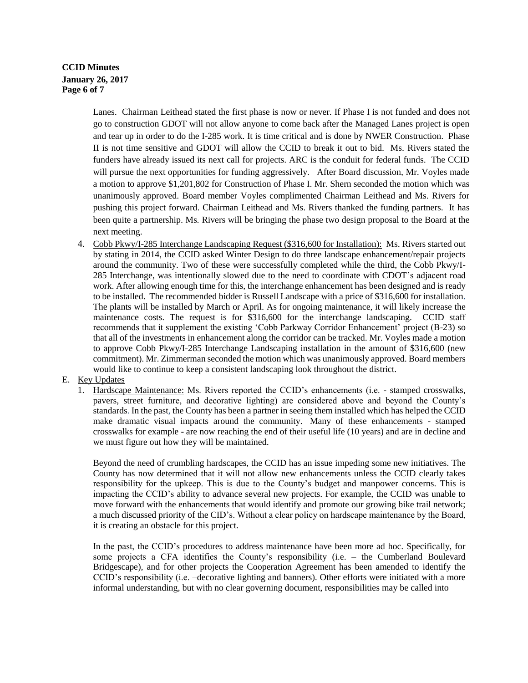# **CCID Minutes January 26, 2017 Page 6 of 7**

Lanes. Chairman Leithead stated the first phase is now or never. If Phase I is not funded and does not go to construction GDOT will not allow anyone to come back after the Managed Lanes project is open and tear up in order to do the I-285 work. It is time critical and is done by NWER Construction. Phase II is not time sensitive and GDOT will allow the CCID to break it out to bid. Ms. Rivers stated the funders have already issued its next call for projects. ARC is the conduit for federal funds. The CCID will pursue the next opportunities for funding aggressively. After Board discussion, Mr. Voyles made a motion to approve \$1,201,802 for Construction of Phase I. Mr. Shern seconded the motion which was unanimously approved. Board member Voyles complimented Chairman Leithead and Ms. Rivers for pushing this project forward. Chairman Leithead and Ms. Rivers thanked the funding partners. It has been quite a partnership. Ms. Rivers will be bringing the phase two design proposal to the Board at the next meeting.

4. Cobb Pkwy/I-285 Interchange Landscaping Request (\$316,600 for Installation): Ms. Rivers started out by stating in 2014, the CCID asked Winter Design to do three landscape enhancement/repair projects around the community. Two of these were successfully completed while the third, the Cobb Pkwy/I-285 Interchange, was intentionally slowed due to the need to coordinate with CDOT's adjacent road work. After allowing enough time for this, the interchange enhancement has been designed and is ready to be installed. The recommended bidder is Russell Landscape with a price of \$316,600 for installation. The plants will be installed by March or April. As for ongoing maintenance, it will likely increase the maintenance costs. The request is for \$316,600 for the interchange landscaping. CCID staff recommends that it supplement the existing 'Cobb Parkway Corridor Enhancement' project (B-23) so that all of the investments in enhancement along the corridor can be tracked. Mr. Voyles made a motion to approve Cobb Pkwy/I-285 Interchange Landscaping installation in the amount of \$316,600 (new commitment). Mr. Zimmerman seconded the motion which was unanimously approved. Board members would like to continue to keep a consistent landscaping look throughout the district.

# E. Key Updates

1. Hardscape Maintenance: Ms. Rivers reported the CCID's enhancements (i.e. - stamped crosswalks, pavers, street furniture, and decorative lighting) are considered above and beyond the County's standards. In the past, the County has been a partner in seeing them installed which has helped the CCID make dramatic visual impacts around the community. Many of these enhancements - stamped crosswalks for example - are now reaching the end of their useful life (10 years) and are in decline and we must figure out how they will be maintained.

Beyond the need of crumbling hardscapes, the CCID has an issue impeding some new initiatives. The County has now determined that it will not allow new enhancements unless the CCID clearly takes responsibility for the upkeep. This is due to the County's budget and manpower concerns. This is impacting the CCID's ability to advance several new projects. For example, the CCID was unable to move forward with the enhancements that would identify and promote our growing bike trail network; a much discussed priority of the CID's. Without a clear policy on hardscape maintenance by the Board, it is creating an obstacle for this project.

In the past, the CCID's procedures to address maintenance have been more ad hoc. Specifically, for some projects a CFA identifies the County's responsibility (i.e. – the Cumberland Boulevard Bridgescape), and for other projects the Cooperation Agreement has been amended to identify the CCID's responsibility (i.e. –decorative lighting and banners). Other efforts were initiated with a more informal understanding, but with no clear governing document, responsibilities may be called into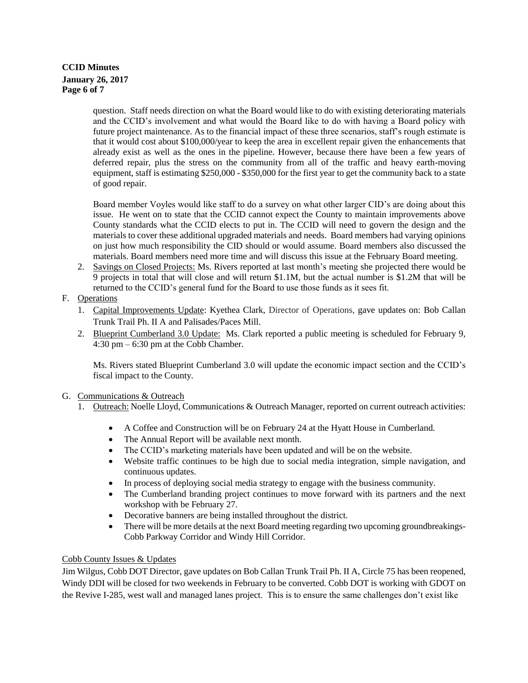# **CCID Minutes January 26, 2017 Page 6 of 7**

question. Staff needs direction on what the Board would like to do with existing deteriorating materials and the CCID's involvement and what would the Board like to do with having a Board policy with future project maintenance. As to the financial impact of these three scenarios, staff's rough estimate is that it would cost about \$100,000/year to keep the area in excellent repair given the enhancements that already exist as well as the ones in the pipeline. However, because there have been a few years of deferred repair, plus the stress on the community from all of the traffic and heavy earth-moving equipment, staff is estimating \$250,000 - \$350,000 for the first year to get the community back to a state of good repair.

Board member Voyles would like staff to do a survey on what other larger CID's are doing about this issue. He went on to state that the CCID cannot expect the County to maintain improvements above County standards what the CCID elects to put in. The CCID will need to govern the design and the materials to cover these additional upgraded materials and needs. Board members had varying opinions on just how much responsibility the CID should or would assume. Board members also discussed the materials. Board members need more time and will discuss this issue at the February Board meeting.

2. Savings on Closed Projects: Ms. Rivers reported at last month's meeting she projected there would be 9 projects in total that will close and will return \$1.1M, but the actual number is \$1.2M that will be returned to the CCID's general fund for the Board to use those funds as it sees fit.

# F. Operations

- 1. Capital Improvements Update: Kyethea Clark, Director of Operations, gave updates on: Bob Callan Trunk Trail Ph. II A and Palisades/Paces Mill.
- 2. Blueprint Cumberland 3.0 Update: Ms. Clark reported a public meeting is scheduled for February 9, 4:30 pm – 6:30 pm at the Cobb Chamber.

Ms. Rivers stated Blueprint Cumberland 3.0 will update the economic impact section and the CCID's fiscal impact to the County.

# G. Communications & Outreach

- 1. Outreach: Noelle Lloyd, Communications & Outreach Manager, reported on current outreach activities:
	- A Coffee and Construction will be on February 24 at the Hyatt House in Cumberland.
	- The Annual Report will be available next month.
	- The CCID's marketing materials have been updated and will be on the website.
	- Website traffic continues to be high due to social media integration, simple navigation, and continuous updates.
	- In process of deploying social media strategy to engage with the business community.
	- The Cumberland branding project continues to move forward with its partners and the next workshop with be February 27.
	- Decorative banners are being installed throughout the district.
	- There will be more details at the next Board meeting regarding two upcoming groundbreakings-Cobb Parkway Corridor and Windy Hill Corridor.

# Cobb County Issues & Updates

Jim Wilgus, Cobb DOT Director, gave updates on Bob Callan Trunk Trail Ph. II A, Circle 75 has been reopened, Windy DDI will be closed for two weekends in February to be converted. Cobb DOT is working with GDOT on the Revive I-285, west wall and managed lanes project. This is to ensure the same challenges don't exist like